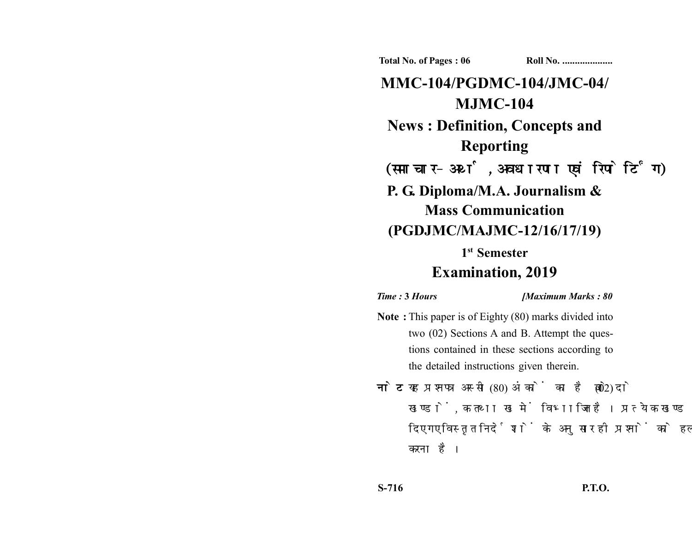**Total No. of Pages : 06 Roll No. ...................** 

**MMC-104/PGDMC-104/JMC-04/ MJMC-104 News : Definition, Concepts and Reporting** (समाचार-अर्थ, अवधारणा एवं रिपोर्टिंग) **P. G. Diploma/M.A. Journalism & Mass Communication (PGDJMC/MAJMC-12/16/17/19) 1st Semester**

## **Examination, 2019**

*Time :* **3** *Hours [Maximum Marks : 80*

- **Note :** This paper is of Eighty (80) marks divided into two (02) Sections A and B. Attempt the questions contained in these sections according to the detailed instructions given therein.
- नोट: यह प्रश्नपत्र अस्सी (80) अंकों का है जो दो (02) खण्डों. क तथा ख में विभाजित है। प्रत्येक खण्ड में दिए गए विस्तृत निर्देशों के अनुसार ही प्रश्नों को हल करना है।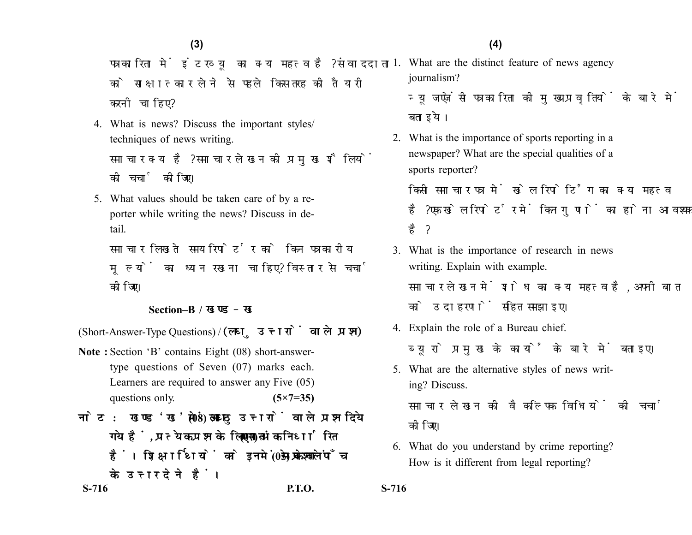पत्रकारिता में इंटरव्यू का क्या महत्व है? संवाददाता को साक्षात्कार लेने से पहले किस तरह की तैयारी करनी चाहिए?

4. What is news? Discuss the important styles/ techniques of news writing.

समाचार क्या है? समाचार लेखन को प्रमुख शैलियों की चर्चा कोजिए।

5. What values should be taken care of by a reporter while writing the news? Discuss in detail.

समाचार लिखते समय रिपोर्टर को किन पत्रकारीय मूल्यों का ध्यान रखना चाहिए? विस्तार से चर्चा कोजिए।

## **Section–B /**

(Short-Answer-Type Questions) / (लघु उत्तरों वाले प्रश्न)

- **Note :** Section 'B' contains Eight (08) short-answertype questions of Seven (07) marks each. Learners are required to answer any Five (05) questions only. **(5×7=35)**
- नोट: खण्ड'ख' में आठ (08) लघु उत्तरों वाले प्रश्न दिये गये हैं. प्रत्येक प्रश्न के लिए सात (07) अंक निर्धारित हैं। शिक्षार्थियों को इनमें से केवल पाँच (05) प्रश्नों के उत्तर देने हैं।

1. What are the distinct feature of news agency journalism?

न्यूज एजेंसी पत्रकारिता की मुख्य प्रवृतियों के बारे में बताइये।

2. What is the importance of sports reporting in a newspaper? What are the special qualities of a sports reporter?

किसी समाचार पत्र में खेल रिपोर्टिंग का क्या महत्व है? एक खेल रिपोर्टर में किन गणों का होना आवश्यक है ?

- 3. What is the importance of research in news writing. Explain with example. समाचार लेखन में शोध का क्या महत्व है, अपनी बात को उदाहरणों सहित समझाइए।
- 4. Explain the role of a Bureau chief. ब्युरो प्रमुख के कार्यों के बारे में बताइए।
- 5. What are the alternative styles of news writing? Discuss. समाचार लेखन की वैकल्पिक विधियों की चर्चा कोजिए।
- 6. What do you understand by crime reporting? How is it different from legal reporting?

**S-716 P.T.O. S-716**